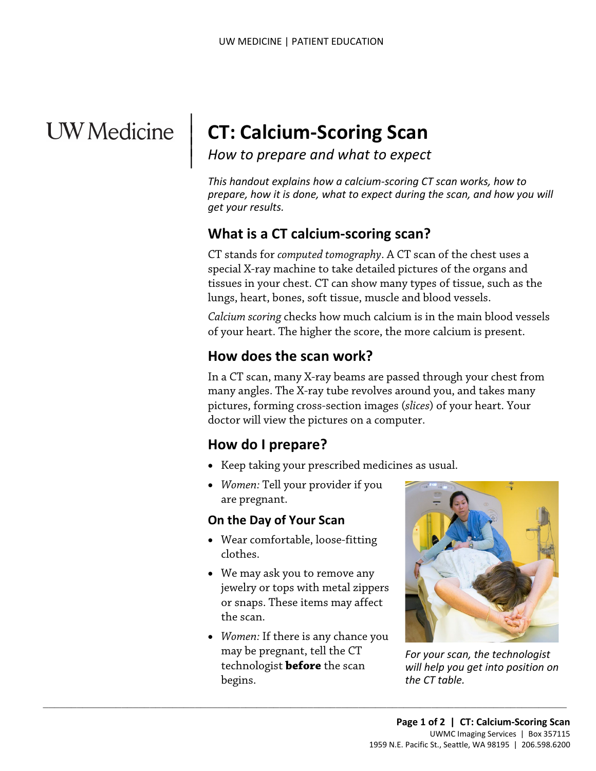# **UW** Medicine

 $\parallel$  $\vert$  $\vert$ 

# **CT: Calcium-Scoring Scan**

*How to prepare and what to expect*

*This handout explains how a calcium-scoring CT scan works, how to prepare, how it is done, what to expect during the scan, and how you will get your results.*

# **What is a CT calcium-scoring scan?**

CT stands for *computed tomography*. A CT scan of the chest uses a special X-ray machine to take detailed pictures of the organs and tissues in your chest. CT can show many types of tissue, such as the lungs, heart, bones, soft tissue, muscle and blood vessels.

*Calcium scoring* checks how much calcium is in the main blood vessels of your heart. The higher the score, the more calcium is present.

# **How does the scan work?**

In a CT scan, many X-ray beams are passed through your chest from many angles. The X-ray tube revolves around you, and takes many pictures, forming cross-section images (*slices*) of your heart. Your doctor will view the pictures on a computer.

## **How do I prepare?**

- Keep taking your prescribed medicines as usual.
- *Women:* Tell your provider if you are pregnant.

#### **On the Day of Your Scan**

- Wear comfortable, loose-fitting clothes.
- We may ask you to remove any jewelry or tops with metal zippers or snaps. These items may affect the scan.
- *Women:* If there is any chance you may be pregnant, tell the CT technologist **before** the scan begins.

 $\_$  ,  $\_$  ,  $\_$  ,  $\_$  ,  $\_$  ,  $\_$  ,  $\_$  ,  $\_$  ,  $\_$  ,  $\_$  ,  $\_$  ,  $\_$  ,  $\_$  ,  $\_$  ,  $\_$  ,  $\_$  ,  $\_$  ,  $\_$  ,  $\_$  ,  $\_$  ,  $\_$  ,  $\_$  ,  $\_$  ,  $\_$  ,  $\_$  ,  $\_$  ,  $\_$  ,  $\_$  ,  $\_$  ,  $\_$  ,  $\_$  ,  $\_$  ,  $\_$  ,  $\_$  ,  $\_$  ,  $\_$  ,  $\_$  ,



*For your scan, the technologist will help you get into position on the CT table.*